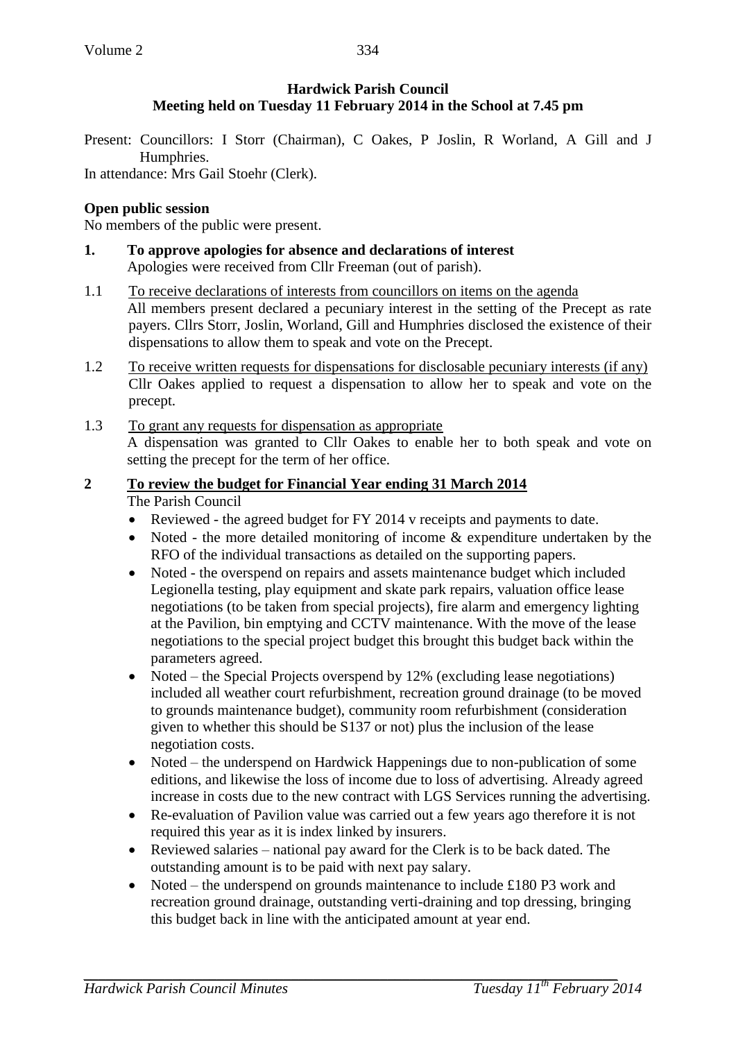## **Hardwick Parish Council Meeting held on Tuesday 11 February 2014 in the School at 7.45 pm**

Present: Councillors: I Storr (Chairman), C Oakes, P Joslin, R Worland, A Gill and J Humphries.

In attendance: Mrs Gail Stoehr (Clerk).

## **Open public session**

No members of the public were present.

- **1. To approve apologies for absence and declarations of interest** Apologies were received from Cllr Freeman (out of parish).
- 1.1 To receive declarations of interests from councillors on items on the agenda All members present declared a pecuniary interest in the setting of the Precept as rate payers. Cllrs Storr, Joslin, Worland, Gill and Humphries disclosed the existence of their dispensations to allow them to speak and vote on the Precept.
- 1.2 To receive written requests for dispensations for disclosable pecuniary interests (if any) Cllr Oakes applied to request a dispensation to allow her to speak and vote on the precept.
- 1.3 To grant any requests for dispensation as appropriate A dispensation was granted to Cllr Oakes to enable her to both speak and vote on setting the precept for the term of her office.

# **2 To review the budget for Financial Year ending 31 March 2014**

The Parish Council

- Reviewed the agreed budget for FY 2014 v receipts and payments to date.
- Noted the more detailed monitoring of income & expenditure undertaken by the RFO of the individual transactions as detailed on the supporting papers.
- Noted the overspend on repairs and assets maintenance budget which included Legionella testing, play equipment and skate park repairs, valuation office lease negotiations (to be taken from special projects), fire alarm and emergency lighting at the Pavilion, bin emptying and CCTV maintenance. With the move of the lease negotiations to the special project budget this brought this budget back within the parameters agreed.
- Noted the Special Projects overspend by 12% (excluding lease negotiations) included all weather court refurbishment, recreation ground drainage (to be moved to grounds maintenance budget), community room refurbishment (consideration given to whether this should be S137 or not) plus the inclusion of the lease negotiation costs.
- Noted the underspend on Hardwick Happenings due to non-publication of some editions, and likewise the loss of income due to loss of advertising. Already agreed increase in costs due to the new contract with LGS Services running the advertising.
- Re-evaluation of Pavilion value was carried out a few years ago therefore it is not required this year as it is index linked by insurers.
- Reviewed salaries national pay award for the Clerk is to be back dated. The outstanding amount is to be paid with next pay salary.
- Noted the underspend on grounds maintenance to include £180 P3 work and recreation ground drainage, outstanding verti-draining and top dressing, bringing this budget back in line with the anticipated amount at year end.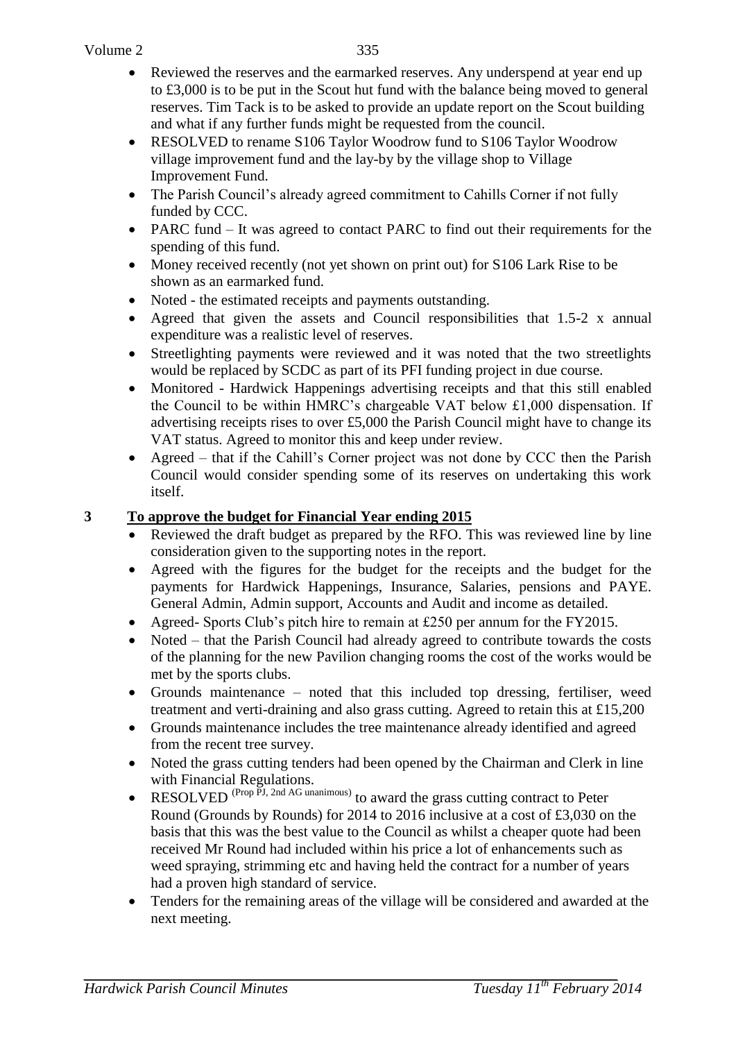- Reviewed the reserves and the earmarked reserves. Any underspend at year end up to £3,000 is to be put in the Scout hut fund with the balance being moved to general reserves. Tim Tack is to be asked to provide an update report on the Scout building and what if any further funds might be requested from the council.
- RESOLVED to rename S106 Taylor Woodrow fund to S106 Taylor Woodrow village improvement fund and the lay-by by the village shop to Village Improvement Fund.
- The Parish Council's already agreed commitment to Cahills Corner if not fully funded by CCC.
- PARC fund It was agreed to contact PARC to find out their requirements for the spending of this fund.
- Money received recently (not yet shown on print out) for S106 Lark Rise to be shown as an earmarked fund.
- Noted the estimated receipts and payments outstanding.
- Agreed that given the assets and Council responsibilities that 1.5-2 x annual expenditure was a realistic level of reserves.
- Streetlighting payments were reviewed and it was noted that the two streetlights would be replaced by SCDC as part of its PFI funding project in due course.
- Monitored Hardwick Happenings advertising receipts and that this still enabled the Council to be within HMRC's chargeable VAT below £1,000 dispensation. If advertising receipts rises to over £5,000 the Parish Council might have to change its VAT status. Agreed to monitor this and keep under review.
- Agreed that if the Cahill's Corner project was not done by CCC then the Parish Council would consider spending some of its reserves on undertaking this work itself.

#### **3 To approve the budget for Financial Year ending 2015**

- Reviewed the draft budget as prepared by the RFO. This was reviewed line by line consideration given to the supporting notes in the report.
- Agreed with the figures for the budget for the receipts and the budget for the payments for Hardwick Happenings, Insurance, Salaries, pensions and PAYE. General Admin, Admin support, Accounts and Audit and income as detailed.
- Agreed- Sports Club's pitch hire to remain at £250 per annum for the FY2015.
- Noted that the Parish Council had already agreed to contribute towards the costs of the planning for the new Pavilion changing rooms the cost of the works would be met by the sports clubs.
- Grounds maintenance noted that this included top dressing, fertiliser, weed treatment and verti-draining and also grass cutting. Agreed to retain this at £15,200
- Grounds maintenance includes the tree maintenance already identified and agreed from the recent tree survey.
- Noted the grass cutting tenders had been opened by the Chairman and Clerk in line with Financial Regulations.
- RESOLVED<sup>(Prop PJ, 2nd AG unanimous)</sup> to award the grass cutting contract to Peter Round (Grounds by Rounds) for 2014 to 2016 inclusive at a cost of £3,030 on the basis that this was the best value to the Council as whilst a cheaper quote had been received Mr Round had included within his price a lot of enhancements such as weed spraying, strimming etc and having held the contract for a number of years had a proven high standard of service.
- Tenders for the remaining areas of the village will be considered and awarded at the next meeting.